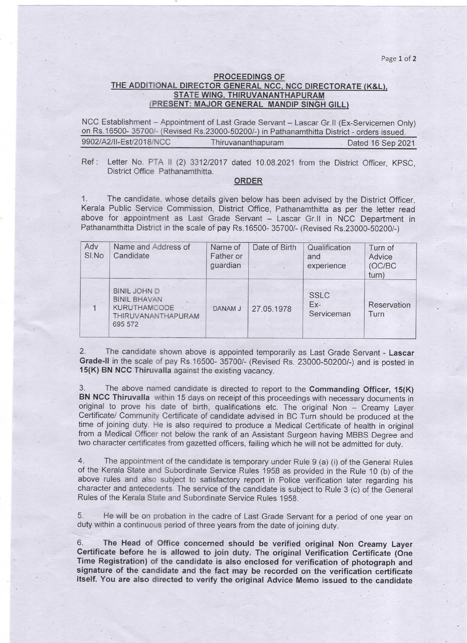Page 1 of 2

## PROCEEDINGS OF THE ADDITIONAL DIRECTOR GENERAL NCC, NCC DIRECTORATE (K&L), STATE WING, THIRUVANANTHAPURAM (PRESENT: MAJOR GENERAL MANDIP SINGH GILL)

NCC Establishment - Appointment of Last Grade Servant - Lascar Gr.II (Ex-Servicemen Only) on Rs.16500-35700/- (Revised Rs.23000-50200/-) in Pathanamthitta District - orders issued. 9902/A2/lI-Est/2018/NCC Thiruvananthapuram Dated 16 Sep 2021

Ref: Letter No. PTA II (2) 3312/2017 dated 10.08.2021 from the District Officer, KPSC, District Office Pathanamthitta.

## ORDER

1. The candidate, whose details given below has been advised by the District Officer, Kerala Public Service Commission, District Office, Pathanamthitta as per the letter read above for appointment as Last Grade Servant - Lascar Gr.II in NCC Department in Pathanamthitta District in the scale of pay Rs.16500-35700/- (Revised Rs.23000-50200/-)

| Adv<br>SI.No | Name and Address of<br>Candidate                                                                   | Name of<br>Father or<br>guardian | Date of Birth | Qualification<br>and<br>experience | Turn of<br>Advice<br>(OC/BC)<br>turn) |
|--------------|----------------------------------------------------------------------------------------------------|----------------------------------|---------------|------------------------------------|---------------------------------------|
|              | <b>BINIL JOHN D</b><br><b>BINIL BHAVAN</b><br><b>KURUTHAMCODE</b><br>THIRUVANANTHAPURAM<br>695 572 | DANAM J                          | 27.05.1978    | <b>SSLC</b><br>$Ex-$<br>Serviceman | Reservation<br>Turn                   |

2. The candidate shown above is appointed temporarily as Last Grade Servant - Lascar Grade-ll in the scale of pay Rs.16500-35700/-(Revised Rs. 23000-50200/-) and is posted in 15(K) BN NCC Thiruvalla against the existing vacancy.

3. The above named candidate is directed to report to the Commanding Officer, 15(K) BN NCC Thiruvalla within 15 days on receipt of this proceedings with necessary documents in original to prove his date of birth, qualifications etc. The original Non - Creamy Layer Certificate/ Community Certificate of candidate advised ih BC Turn should be produced at the time of joining duty. He is also required to produce a Medical Certificate of health in original from a Medical Officer not below the rank of an Assistant Surgeon having MBBS Degree and two character certificates from gazetted officers, failing which he will not be admitted for duty.

4. The appointment of the candidate is temporary,under Rule 9 (a) (i) of the General Rules of the Kerala State and Subordinate Service Rules 1958 as provided in the Rule 10 (b) of the above rules and also subject to satisfactory report in Police verification later regarding his character and antecedents. The service of the candidate is subject to Rule 3 (c) of the General Rules of the Kerala State and Subordinate Service Rules 1958.

5. He will be on probation in the cadre of Last Grade Servant for a period of one year on duty within a continuous period of three years from the date of joining duty.

6. The Head of Office concerned should be verified original Non Creamy Layer Certificate before he is allowed to join duty. The original Verification Certificate (One Time Registration) of the candidate is also enclosed for verification of photograph and signature of the candidate and the fact may be recorded on the verification certificate itself. You are also directed to verify the original Advice Memo issued to the candidate